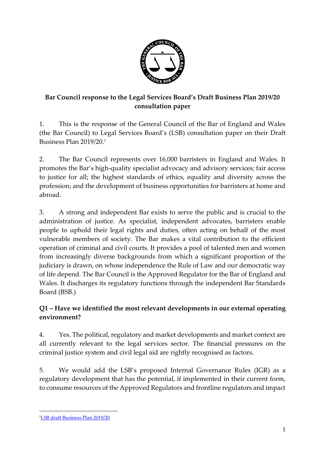

# **Bar Council response to the Legal Services Board's Draft Business Plan 2019/20 consultation paper**

1. This is the response of the General Council of the Bar of England and Wales (the Bar Council) to Legal Services Board's (LSB) consultation paper on their Draft Business Plan 2019/20.<sup>1</sup>

2. The Bar Council represents over 16,000 barristers in England and Wales. It promotes the Bar's high-quality specialist advocacy and advisory services; fair access to justice for all; the highest standards of ethics, equality and diversity across the profession; and the development of business opportunities for barristers at home and abroad.

3. A strong and independent Bar exists to serve the public and is crucial to the administration of justice. As specialist, independent advocates, barristers enable people to uphold their legal rights and duties, often acting on behalf of the most vulnerable members of society. The Bar makes a vital contribution to the efficient operation of criminal and civil courts. It provides a pool of talented men and women from increasingly diverse backgrounds from which a significant proportion of the judiciary is drawn, on whose independence the Rule of Law and our democratic way of life depend. The Bar Council is the Approved Regulator for the Bar of England and Wales. It discharges its regulatory functions through the independent Bar Standards Board (BSB.)

## **Q1 – Have we identified the most relevant developments in our external operating environment?**

4. Yes. The political, regulatory and market developments and market context are all currently relevant to the legal services sector. The financial pressures on the criminal justice system and civil legal aid are rightly recognised as factors.

5. We would add the LSB's proposed Internal Governance Rules (IGR) as a regulatory development that has the potential, if implemented in their current form, to consume resources of the Approved Regulators and frontline regulators and impact

1

<sup>&</sup>lt;sup>1</sup>[LSB draft Business Plan 2019/20](https://www.legalservicesboard.org.uk/what_we_do/consultations/2018/Business_plan_2019-20_consultation_document_(f_ii).pdf)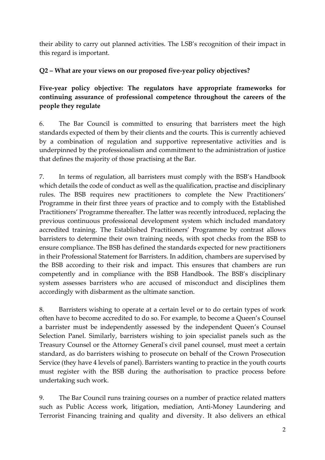their ability to carry out planned activities. The LSB's recognition of their impact in this regard is important.

# **Q2 – What are your views on our proposed five-year policy objectives?**

**Five-year policy objective: The regulators have appropriate frameworks for continuing assurance of professional competence throughout the careers of the people they regulate**

6. The Bar Council is committed to ensuring that barristers meet the high standards expected of them by their clients and the courts. This is currently achieved by a combination of regulation and supportive representative activities and is underpinned by the professionalism and commitment to the administration of justice that defines the majority of those practising at the Bar.

7. In terms of regulation, all barristers must comply with the BSB's Handbook which details the code of conduct as well as the qualification, practise and disciplinary rules. The BSB requires new practitioners to complete the New Practitioners' Programme in their first three years of practice and to comply with the Established Practitioners' Programme thereafter. The latter was recently introduced, replacing the previous continuous professional development system which included mandatory accredited training. The Established Practitioners' Programme by contrast allows barristers to determine their own training needs, with spot checks from the BSB to ensure compliance. The BSB has defined the standards expected for new practitioners in their Professional Statement for Barristers. In addition, chambers are supervised by the BSB according to their risk and impact. This ensures that chambers are run competently and in compliance with the BSB Handbook. The BSB's disciplinary system assesses barristers who are accused of misconduct and disciplines them accordingly with disbarment as the ultimate sanction.

8. Barristers wishing to operate at a certain level or to do certain types of work often have to become accredited to do so. For example, to become a Queen's Counsel a barrister must be independently assessed by the independent Queen's Counsel Selection Panel. Similarly, barristers wishing to join specialist panels such as the Treasury Counsel or the Attorney General's civil panel counsel, must meet a certain standard, as do barristers wishing to prosecute on behalf of the Crown Prosecution Service (they have 4 levels of panel). Barristers wanting to practice in the youth courts must register with the BSB during the authorisation to practice process before undertaking such work.

9. The Bar Council runs training courses on a number of practice related matters such as Public Access work, litigation, mediation, Anti-Money Laundering and Terrorist Financing training and quality and diversity. It also delivers an ethical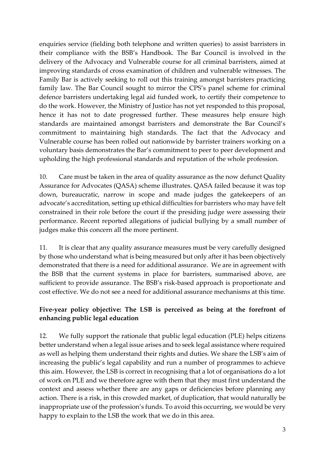enquiries service (fielding both telephone and written queries) to assist barristers in their compliance with the BSB's Handbook. The Bar Council is involved in the delivery of the Advocacy and Vulnerable course for all criminal barristers, aimed at improving standards of cross examination of children and vulnerable witnesses. The Family Bar is actively seeking to roll out this training amongst barristers practicing family law. The Bar Council sought to mirror the CPS's panel scheme for criminal defence barristers undertaking legal aid funded work, to certify their competence to do the work. However, the Ministry of Justice has not yet responded to this proposal, hence it has not to date progressed further. These measures help ensure high standards are maintained amongst barristers and demonstrate the Bar Council's commitment to maintaining high standards. The fact that the Advocacy and Vulnerable course has been rolled out nationwide by barrister trainers working on a voluntary basis demonstrates the Bar's commitment to peer to peer development and upholding the high professional standards and reputation of the whole profession.

10. Care must be taken in the area of quality assurance as the now defunct Quality Assurance for Advocates (QASA) scheme illustrates. QASA failed because it was top down, bureaucratic, narrow in scope and made judges the gatekeepers of an advocate's accreditation, setting up ethical difficulties for barristers who may have felt constrained in their role before the court if the presiding judge were assessing their performance. Recent reported allegations of judicial bullying by a small number of judges make this concern all the more pertinent.

11. It is clear that any quality assurance measures must be very carefully designed by those who understand what is being measured but only after it has been objectively demonstrated that there is a need for additional assurance. We are in agreement with the BSB that the current systems in place for barristers, summarised above, are sufficient to provide assurance. The BSB's risk-based approach is proportionate and cost effective. We do not see a need for additional assurance mechanisms at this time.

#### **Five-year policy objective: The LSB is perceived as being at the forefront of enhancing public legal education**

12. We fully support the rationale that public legal education (PLE) helps citizens better understand when a legal issue arises and to seek legal assistance where required as well as helping them understand their rights and duties. We share the LSB's aim of increasing the public's legal capability and run a number of programmes to achieve this aim. However, the LSB is correct in recognising that a lot of organisations do a lot of work on PLE and we therefore agree with them that they must first understand the context and assess whether there are any gaps or deficiencies before planning any action. There is a risk, in this crowded market, of duplication, that would naturally be inappropriate use of the profession's funds. To avoid this occurring, we would be very happy to explain to the LSB the work that we do in this area.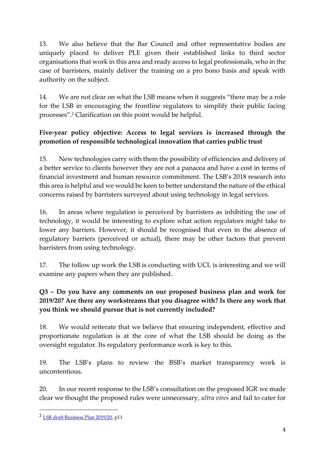13. We also believe that the Bar Council and other representative bodies are uniquely placed to deliver PLE given their established links to third sector organisations that work in this area and ready access to legal professionals, who in the case of barristers, mainly deliver the training on a pro bono basis and speak with authority on the subject.

14. We are not clear on what the LSB means when it suggests "there may be a role for the LSB in encouraging the frontline regulators to simplify their public facing processes".<sup>2</sup> Clarification on this point would be helpful.

### **Five-year policy objective: Access to legal services is increased through the promotion of responsible technological innovation that carries public trust**

15. New technologies carry with them the possibility of efficiencies and delivery of a better service to clients however they are not a panacea and have a cost in terms of financial investment and human resource commitment. The LSB's 2018 research into this area is helpful and we would be keen to better understand the nature of the ethical concerns raised by barristers surveyed about using technology in legal services.

16. In areas where regulation is perceived by barristers as inhibiting the use of technology, it would be interesting to explore what action regulators might take to lower any barriers. However, it should be recognised that even in the absence of regulatory barriers (perceived or actual), there may be other factors that prevent barristers from using technology.

17. The follow up work the LSB is conducting with UCL is interesting and we will examine any papers when they are published.

# **Q3 – Do you have any comments on our proposed business plan and work for 2019/20? Are there any workstreams that you disagree with? Is there any work that you think we should pursue that is not currently included?**

18. We would reiterate that we believe that ensuring independent, effective and proportionate regulation is at the core of what the LSB should be doing as the oversight regulator. Its regulatory performance work is key to this.

19. The LSB's plans to review the BSB's market transparency work is uncontentious.

20. In our recent response to the LSB's consultation on the proposed IGR we made clear we thought the proposed rules were unnecessary, *ultra vires* and fail to cater for

**.** 

<sup>2</sup> [LSB draft Business Plan 2019/20,](https://www.legalservicesboard.org.uk/what_we_do/consultations/2018/Business_plan_2019-20_consultation_document_(f_ii).pdf) p11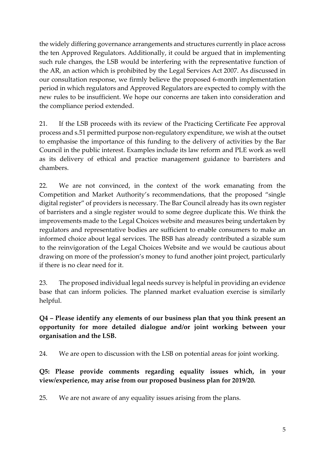the widely differing governance arrangements and structures currently in place across the ten Approved Regulators. Additionally, it could be argued that in implementing such rule changes, the LSB would be interfering with the representative function of the AR, an action which is prohibited by the Legal Services Act 2007. As discussed in our consultation response, we firmly believe the proposed 6-month implementation period in which regulators and Approved Regulators are expected to comply with the new rules to be insufficient. We hope our concerns are taken into consideration and the compliance period extended.

21. If the LSB proceeds with its review of the Practicing Certificate Fee approval process and s.51 permitted purpose non-regulatory expenditure, we wish at the outset to emphasise the importance of this funding to the delivery of activities by the Bar Council in the public interest. Examples include its law reform and PLE work as well as its delivery of ethical and practice management guidance to barristers and chambers.

22. We are not convinced, in the context of the work emanating from the Competition and Market Authority's recommendations, that the proposed "single digital register" of providers is necessary. The Bar Council already has its own register of barristers and a single register would to some degree duplicate this. We think the improvements made to the Legal Choices website and measures being undertaken by regulators and representative bodies are sufficient to enable consumers to make an informed choice about legal services. The BSB has already contributed a sizable sum to the reinvigoration of the Legal Choices Website and we would be cautious about drawing on more of the profession's money to fund another joint project, particularly if there is no clear need for it.

23. The proposed individual legal needs survey is helpful in providing an evidence base that can inform policies. The planned market evaluation exercise is similarly helpful.

**Q4 – Please identify any elements of our business plan that you think present an opportunity for more detailed dialogue and/or joint working between your organisation and the LSB.**

24. We are open to discussion with the LSB on potential areas for joint working.

**Q5: Please provide comments regarding equality issues which, in your view/experience, may arise from our proposed business plan for 2019/20.**

25. We are not aware of any equality issues arising from the plans.